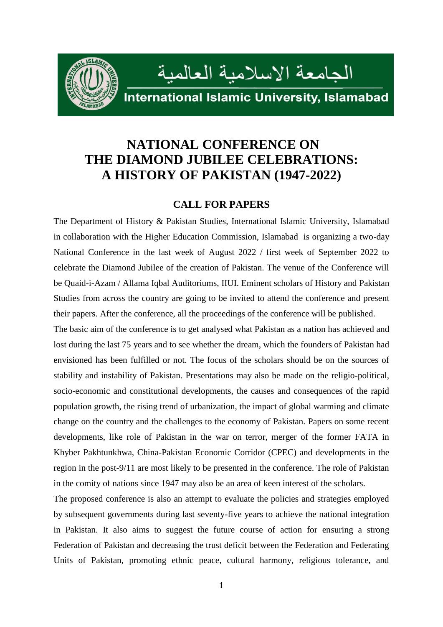

# **NATIONAL CONFERENCE ON THE DIAMOND JUBILEE CELEBRATIONS: A HISTORY OF PAKISTAN (1947-2022)**

## **CALL FOR PAPERS**

The Department of History & Pakistan Studies, International Islamic University, Islamabad in collaboration with the Higher Education Commission, Islamabad is organizing a two-day National Conference in the last week of August 2022 / first week of September 2022 to celebrate the Diamond Jubilee of the creation of Pakistan. The venue of the Conference will be Quaid-i-Azam / Allama Iqbal Auditoriums, IIUI. Eminent scholars of History and Pakistan Studies from across the country are going to be invited to attend the conference and present their papers. After the conference, all the proceedings of the conference will be published.

The basic aim of the conference is to get analysed what Pakistan as a nation has achieved and lost during the last 75 years and to see whether the dream, which the founders of Pakistan had envisioned has been fulfilled or not. The focus of the scholars should be on the sources of stability and instability of Pakistan. Presentations may also be made on the religio-political, socio-economic and constitutional developments, the causes and consequences of the rapid population growth, the rising trend of urbanization, the impact of global warming and climate change on the country and the challenges to the economy of Pakistan. Papers on some recent developments, like role of Pakistan in the war on terror, merger of the former FATA in Khyber Pakhtunkhwa, China-Pakistan Economic Corridor (CPEC) and developments in the region in the post-9/11 are most likely to be presented in the conference. The role of Pakistan in the comity of nations since 1947 may also be an area of keen interest of the scholars.

The proposed conference is also an attempt to evaluate the policies and strategies employed by subsequent governments during last seventy-five years to achieve the national integration in Pakistan. It also aims to suggest the future course of action for ensuring a strong Federation of Pakistan and decreasing the trust deficit between the Federation and Federating Units of Pakistan, promoting ethnic peace, cultural harmony, religious tolerance, and